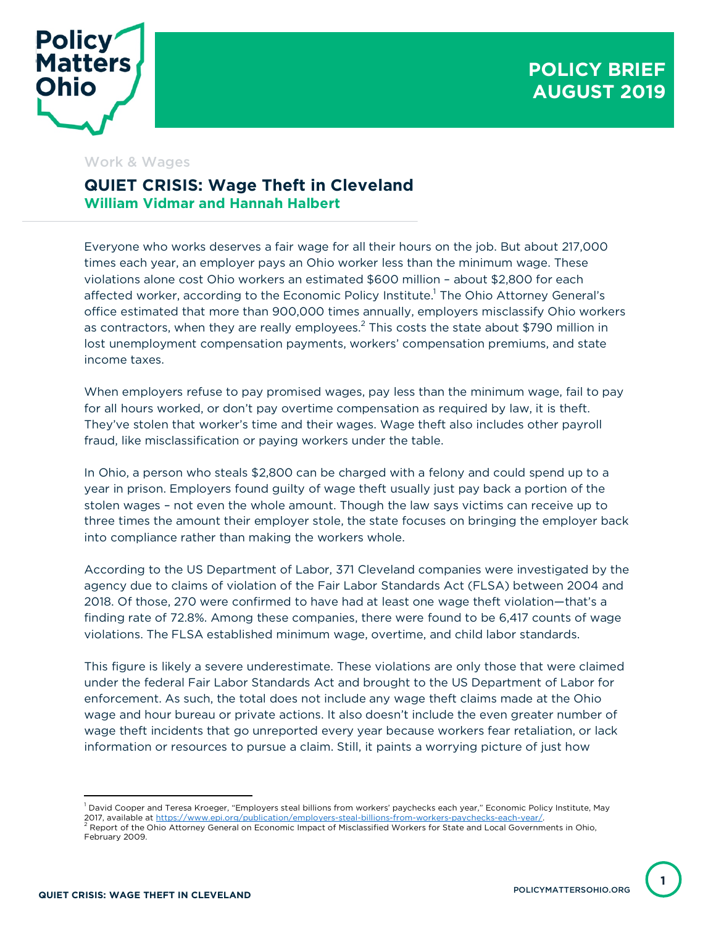

## **POLICY BRIEF AUGUST 2019**

## Work & Wages

## **QUIET CRISIS: Wage Theft in Cleveland William Vidmar and Hannah Halbert**

Everyone who works deserves a fair wage for all their hours on the job. But about 217,000 times each year, an employer pays an Ohio worker less than the minimum wage. These violations alone cost Ohio workers an estimated \$600 million – about \$2,800 for each affected worker, according to the Economic Policy Institute.<sup>1</sup> The Ohio Attorney General's office estimated that more than 900,000 times annually, employers misclassify Ohio workers as contractors, when they are really employees.<sup>2</sup> This costs the state about \$790 million in lost unemployment compensation payments, workers' compensation premiums, and state income taxes.

When employers refuse to pay promised wages, pay less than the minimum wage, fail to pay for all hours worked, or don't pay overtime compensation as required by law, it is theft. They've stolen that worker's time and their wages. Wage theft also includes other payroll fraud, like misclassification or paying workers under the table.

In Ohio, a person who steals \$2,800 can be charged with a felony and could spend up to a year in prison. Employers found guilty of wage theft usually just pay back a portion of the stolen wages – not even the whole amount. Though the law says victims can receive up to three times the amount their employer stole, the state focuses on bringing the employer back into compliance rather than making the workers whole.

According to the US Department of Labor, 371 Cleveland companies were investigated by the agency due to claims of violation of the Fair Labor Standards Act (FLSA) between 2004 and 2018. Of those, 270 were confirmed to have had at least one wage theft violation—that's a finding rate of 72.8%. Among these companies, there were found to be 6,417 counts of wage violations. The FLSA established minimum wage, overtime, and child labor standards.

This figure is likely a severe underestimate. These violations are only those that were claimed under the federal Fair Labor Standards Act and brought to the US Department of Labor for enforcement. As such, the total does not include any wage theft claims made at the Ohio wage and hour bureau or private actions. It also doesn't include the even greater number of wage theft incidents that go unreported every year because workers fear retaliation, or lack information or resources to pursue a claim. Still, it paints a worrying picture of just how

 $\overline{a}$ 

**1**

 $^{\rm 1}$  David Cooper and Teresa Kroeger, "Employers steal billions from workers' paychecks each year," Economic Policy Institute, May 2017, available at https://www.epi.org/publication/employers-steal-billions-from-workers-paychecks-each-year/<br><sup>2</sup> Report of the Ohio Attorney General on Economic Impact of Misclassified Workers for State and Local Governme February 2009.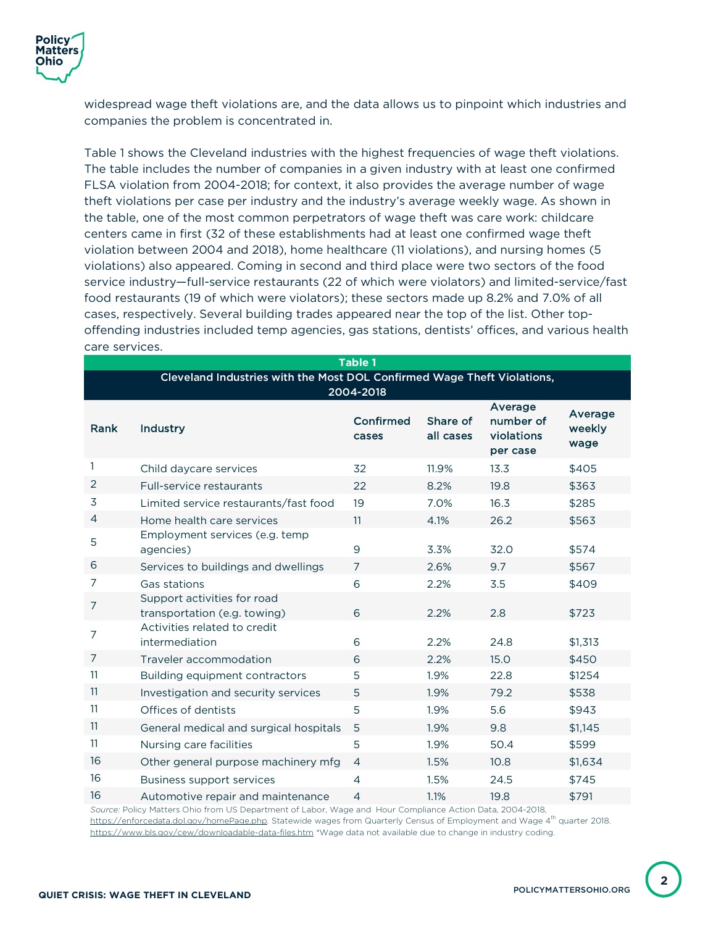widespread wage theft violations are, and the data allows us to pinpoint which industries and companies the problem is concentrated in.

Table 1 shows the Cleveland industries with the highest frequencies of wage theft violations. The table includes the number of companies in a given industry with at least one confirmed FLSA violation from 2004-2018; for context, it also provides the average number of wage theft violations per case per industry and the industry's average weekly wage. As shown in the table, one of the most common perpetrators of wage theft was care work: childcare centers came in first (32 of these establishments had at least one confirmed wage theft violation between 2004 and 2018), home healthcare (11 violations), and nursing homes (5 violations) also appeared. Coming in second and third place were two sectors of the food service industry—full-service restaurants (22 of which were violators) and limited-service/fast food restaurants (19 of which were violators); these sectors made up 8.2% and 7.0% of all cases, respectively. Several building trades appeared near the top of the list. Other topoffending industries included temp agencies, gas stations, dentists' offices, and various health care services.

| <b>Table 1</b>                                                                       |                                                             |                    |                       |                                                |                           |  |
|--------------------------------------------------------------------------------------|-------------------------------------------------------------|--------------------|-----------------------|------------------------------------------------|---------------------------|--|
| Cleveland Industries with the Most DOL Confirmed Wage Theft Violations,<br>2004-2018 |                                                             |                    |                       |                                                |                           |  |
| Rank                                                                                 | Industry                                                    | Confirmed<br>cases | Share of<br>all cases | Average<br>number of<br>violations<br>per case | Average<br>weekly<br>wage |  |
| 1                                                                                    | Child daycare services                                      | 32                 | 11.9%                 | 13.3                                           | \$405                     |  |
| $\overline{2}$                                                                       | Full-service restaurants                                    | 22                 | 8.2%                  | 19.8                                           | \$363                     |  |
| 3                                                                                    | Limited service restaurants/fast food                       | 19                 | 7.0%                  | 16.3                                           | \$285                     |  |
| 4                                                                                    | Home health care services                                   | 11                 | 4.1%                  | 26.2                                           | \$563                     |  |
| 5                                                                                    | Employment services (e.g. temp<br>agencies)                 | 9                  | 3.3%                  | 32.0                                           | \$574                     |  |
| 6                                                                                    | Services to buildings and dwellings                         | 7                  | 2.6%                  | 9.7                                            | \$567                     |  |
| 7                                                                                    | Gas stations                                                | 6                  | 2.2%                  | 3.5                                            | \$409                     |  |
| 7                                                                                    | Support activities for road<br>transportation (e.g. towing) | 6                  | 2.2%                  | 2.8                                            | \$723                     |  |
| 7                                                                                    | Activities related to credit<br>intermediation              | 6                  | 2.2%                  | 24.8                                           | \$1,313                   |  |
| $\overline{7}$                                                                       | Traveler accommodation                                      | 6                  | 2.2%                  | 15.0                                           | \$450                     |  |
| 11                                                                                   | Building equipment contractors                              | 5                  | 1.9%                  | 22.8                                           | \$1254                    |  |
| 11                                                                                   | Investigation and security services                         | 5                  | 1.9%                  | 79.2                                           | \$538                     |  |
| 11                                                                                   | Offices of dentists                                         | 5                  | 1.9%                  | 5.6                                            | \$943                     |  |
| 11                                                                                   | General medical and surgical hospitals                      | 5                  | 1.9%                  | 9.8                                            | \$1,145                   |  |
| 11                                                                                   | Nursing care facilities                                     | 5                  | 1.9%                  | 50.4                                           | \$599                     |  |
| 16                                                                                   | Other general purpose machinery mfg                         | $\overline{4}$     | 1.5%                  | 10.8                                           | \$1,634                   |  |
| 16                                                                                   | <b>Business support services</b>                            | $\overline{4}$     | 1.5%                  | 24.5                                           | \$745                     |  |
| 16                                                                                   | Automotive repair and maintenance                           | $\overline{4}$     | 1.1%                  | 19.8                                           | \$791                     |  |

*Source:* Policy Matters Ohio from US Department of Labor, Wage and Hour Compliance Action Data, 2004-2018, https://enforcedata.dol.gov/homePage.php. Statewide wages from Quarterly Census of Employment and Wage 4<sup>th</sup> quarter 2018. https://www.bls.gov/cew/downloadable-data-files.htm \*Wage data not available due to change in industry coding.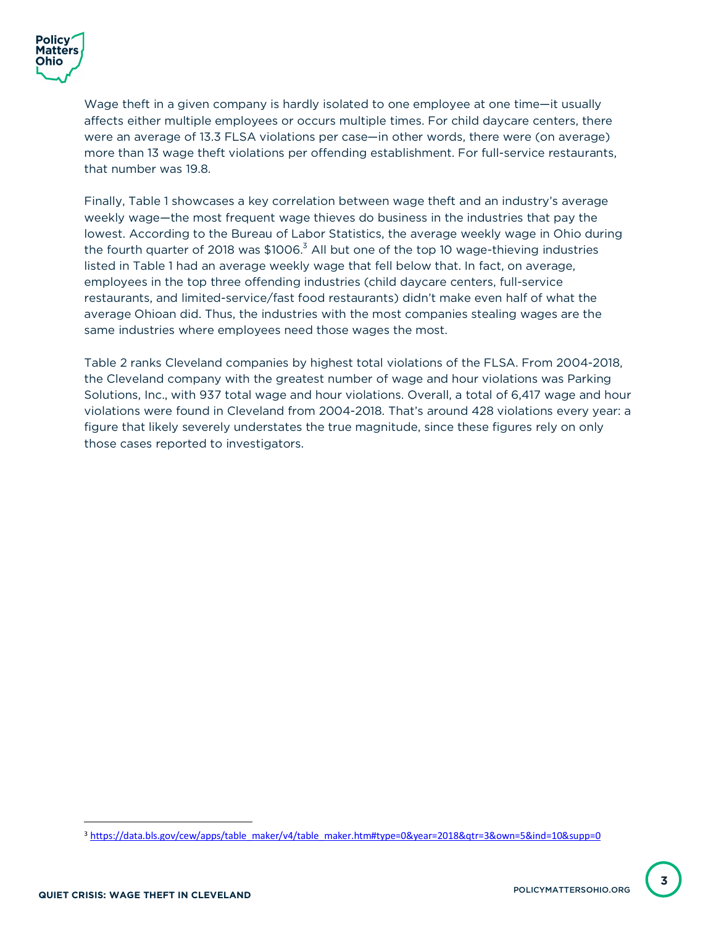Wage theft in a given company is hardly isolated to one employee at one time—it usually affects either multiple employees or occurs multiple times. For child daycare centers, there were an average of 13.3 FLSA violations per case—in other words, there were (on average) more than 13 wage theft violations per offending establishment. For full-service restaurants, that number was 19.8.

Finally, Table 1 showcases a key correlation between wage theft and an industry's average weekly wage—the most frequent wage thieves do business in the industries that pay the lowest. According to the Bureau of Labor Statistics, the average weekly wage in Ohio during the fourth quarter of 2018 was \$1006.<sup>3</sup> All but one of the top 10 wage-thieving industries listed in Table 1 had an average weekly wage that fell below that. In fact, on average, employees in the top three offending industries (child daycare centers, full-service restaurants, and limited-service/fast food restaurants) didn't make even half of what the average Ohioan did. Thus, the industries with the most companies stealing wages are the same industries where employees need those wages the most.

Table 2 ranks Cleveland companies by highest total violations of the FLSA. From 2004-2018, the Cleveland company with the greatest number of wage and hour violations was Parking Solutions, Inc., with 937 total wage and hour violations. Overall, a total of 6,417 wage and hour violations were found in Cleveland from 2004-2018. That's around 428 violations every year: a figure that likely severely understates the true magnitude, since these figures rely on only those cases reported to investigators.

 <sup>3</sup> https://data.bls.gov/cew/apps/table\_maker/v4/table\_maker.htm#type=0&year=2018&qtr=3&own=5&ind=10&supp=0